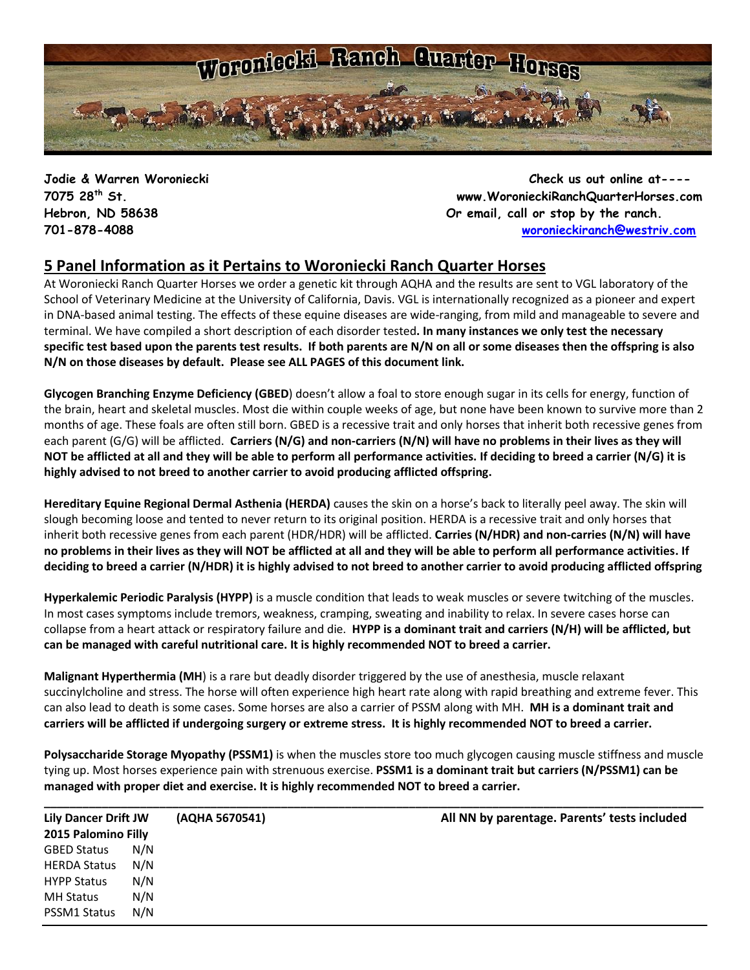

**Jodie & Warren Woroniecki Check us out online at---- 7075 28th St. www.WoronieckiRanchQuarterHorses.com Hebron, ND 58638 Or email, call or stop by the ranch. 701-878-4088 [woronieckiranch@westriv.com](mailto:woronieckiranch@westriv.com)**

### **5 Panel Information as it Pertains to Woroniecki Ranch Quarter Horses**

At Woroniecki Ranch Quarter Horses we order a genetic kit through AQHA and the results are sent to VGL laboratory of the School of Veterinary Medicine at the University of California, Davis. VGL is internationally recognized as a pioneer and expert in DNA-based animal testing. The [effects of these equine diseases](http://americashorsedaily.com/genetic-test-round-up) are wide-ranging, from mild and manageable to severe and terminal. We have compiled a short description of each disorder tested**. In many instances we only test the necessary specific test based upon the parents test results. If both parents are N/N on all or some diseases then the offspring is also N/N on those diseases by default. Please see ALL PAGES of this document link.**

**Glycogen Branching Enzyme Deficiency (GBED**) doesn't allow a foal to store enough sugar in its cells for energy, function of the brain, heart and skeletal muscles. Most die within couple weeks of age, but none have been known to survive more than 2 months of age. These foals are often still born. GBED is a recessive trait and only horses that inherit both recessive genes from each parent (G/G) will be afflicted. **Carriers (N/G) and non-carriers (N/N) will have no problems in their lives as they will NOT be afflicted at all and they will be able to perform all performance activities. If deciding to breed a carrier (N/G) it is highly advised to not breed to another carrier to avoid producing afflicted offspring.**

**Hereditary Equine Regional Dermal Asthenia (HERDA)** causes the skin on a horse's back to literally peel away. The skin will slough becoming loose and tented to never return to its original position. HERDA is a recessive trait and only horses that inherit both recessive genes from each parent (HDR/HDR) will be afflicted. **Carries (N/HDR) and non-carries (N/N) will have no problems in their lives as they will NOT be afflicted at all and they will be able to perform all performance activities. If deciding to breed a carrier (N/HDR) it is highly advised to not breed to another carrier to avoid producing afflicted offspring**

**Hyperkalemic Periodic Paralysis (HYPP)** is a muscle condition that leads to weak muscles or severe twitching of the muscles. In most cases symptoms include tremors, weakness, cramping, sweating and inability to relax. In severe cases horse can collapse from a heart attack or respiratory failure and die. **HYPP is a dominant trait and carriers (N/H) will be afflicted, but can be managed with careful nutritional care. It is highly recommended NOT to breed a carrier.**

**Malignant Hyperthermia (MH**) is a rare but deadly disorder triggered by the use of anesthesia, muscle relaxant succinylcholine and stress. The horse will often experience high heart rate along with rapid breathing and extreme fever. This can also lead to death is some cases. Some horses are also a carrier of PSSM along with MH. **MH is a dominant trait and carriers will be afflicted if undergoing surgery or extreme stress. It is highly recommended NOT to breed a carrier.** 

**Polysaccharide Storage Myopathy (PSSM1)** is when the muscles store too much glycogen causing muscle stiffness and muscle tying up. Most horses experience pain with strenuous exercise. **PSSM1 is a dominant trait but carriers (N/PSSM1) can be managed with proper diet and exercise. It is highly recommended NOT to breed a carrier.**

| <b>Lily Dancer Drift JW</b><br>2015 Palomino Filly |     | (AQHA 5670541) | All NN by parentage. Parents' tests included |  |  |
|----------------------------------------------------|-----|----------------|----------------------------------------------|--|--|
|                                                    |     |                |                                              |  |  |
| <b>GBED Status</b>                                 | N/N |                |                                              |  |  |
| <b>HERDA Status</b>                                | N/N |                |                                              |  |  |
| <b>HYPP Status</b>                                 | N/N |                |                                              |  |  |
| <b>MH Status</b>                                   | N/N |                |                                              |  |  |
| <b>PSSM1 Status</b>                                | N/N |                |                                              |  |  |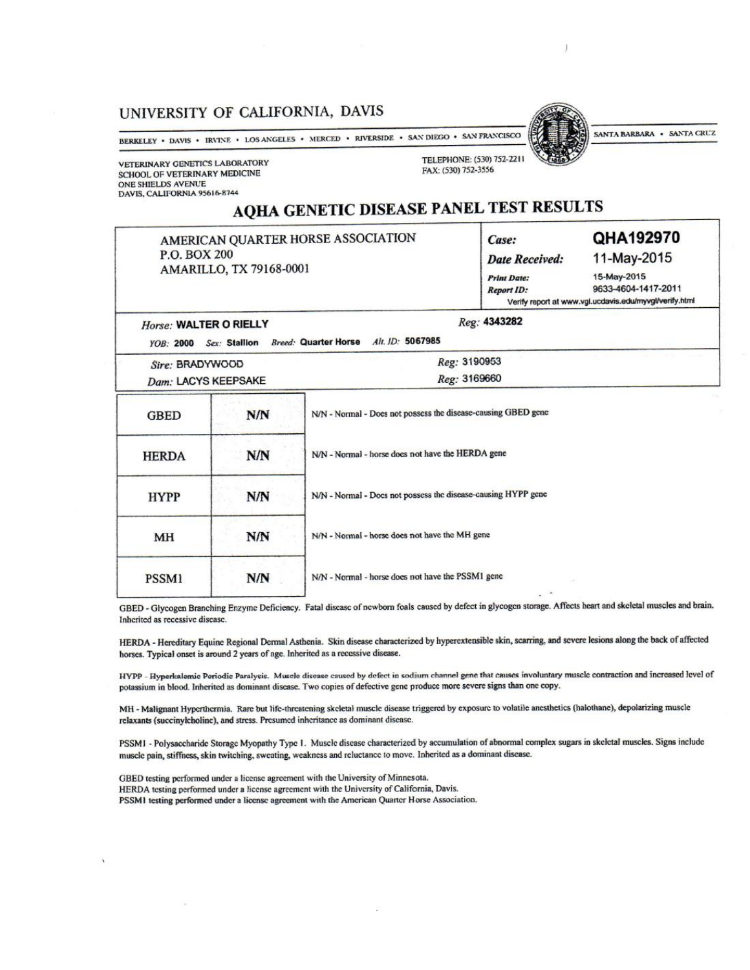### UNIVERSITY OF CALIFORNIA, DAVIS

BERKELEY • DAVIS • IRVINE • LOS ANGELES • MERCED • RIVERSIDE • SAN DIEGO • SAN FRANCISCO

VETERINARY GENETICS LABORATORY SCHOOL OF VETERINARY MEDICINE ONE SHIELDS AVENUE DAVIS, CALIFORNIA 95616-8744

### TELEPHONE: (530) 752-2211 FAX: (530) 752-3556

# AQHA GENETIC DISEASE PANEL TEST RESULTS

| P.O. BOX 200                               | AMARILLO, TX 79168-0001 | AMERICAN QUARTER HORSE ASSOCIATION                            | Case:<br><b>Date Received:</b><br><b>Print Date:</b><br><b>Report ID:</b> | QHA192970<br>11-May-2015<br>15-May-2015<br>9633-4604-1417-2011<br>Verify report at www.vgl.ucdavis.edu/myvgl/verify.html |
|--------------------------------------------|-------------------------|---------------------------------------------------------------|---------------------------------------------------------------------------|--------------------------------------------------------------------------------------------------------------------------|
| Horse: WALTER O RIELLY<br><b>YOB: 2000</b> | Sex: Stallion           | Breed: Quarter Horse Alt. ID: 5067985                         | Reg: 4343282                                                              |                                                                                                                          |
| Sire: BRADYWOOD<br>Dam: LACYS KEEPSAKE     |                         |                                                               | Reg: 3190953<br>Reg: 3169660                                              |                                                                                                                          |
| GBED                                       | N/N                     | N/N - Normal - Does not possess the disease-causing GBED gene |                                                                           |                                                                                                                          |
| <b>HERDA</b>                               | N/N                     | N/N - Normal - horse does not have the HERDA gene             |                                                                           |                                                                                                                          |
| <b>HYPP</b>                                | N/N                     | N/N - Normal - Docs not possess the disease-causing HYPP gene |                                                                           |                                                                                                                          |
| МH                                         | N/N                     | N/N - Normal - horse does not have the MH gene                |                                                                           |                                                                                                                          |
| PSSM1                                      | N/N                     | N/N - Normal - horse does not have the PSSM1 gene<br>$ -$     |                                                                           |                                                                                                                          |

GBED - Glycogen Branching Enzyme Deficiency. Fatal disease of newborn foals caused by defect in glycogen storage. Affects heart and skeletal muscles and brain. Inherited as recessive disease.

HERDA - Hereditary Equine Regional Dermal Asthenia. Skin disease characterized by hyperextensible skin, scarring, and severe lesions along the back of affected horses. Typical onset is around 2 years of age. Inherited as a recessive disease.

HYPP - Hyperkalemic Poriodic Paralysis. Muscle disease caused by defect in sodium channel gene that causes involuntary muscle contraction and increased level of potassium in blood. Inherited as dominant disease. Two copies of defective gene produce more severe signs than one copy.

MH - Malignant Hyperthermia. Rare but life-threatening skeletal muscle disease triggered by exposure to volatile anesthetics (halothane), depolarizing muscle relaxants (succinylcholine), and stress. Presumed inheritance as dominant disease.

PSSMI - Polysaccharide Storage Myopathy Type 1. Muscle disease characterized by accumulation of abnormal complex sugars in skeletal muscles. Signs include muscle pain, stiffness, skin twitching, sweating, weakness and reluctance to move. Inherited as a dominant disease.

GBED testing performed under a license agreement with the University of Minnesota. HERDA testing performed under a license agreement with the University of California, Davis. PSSM1 testing performed under a license agreement with the American Quarter Horse Association.

SANTA BARBARA . SANTA CRUZ